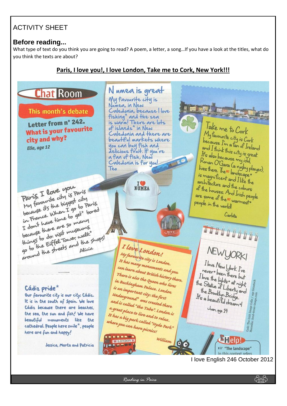# ACTIVITY SHEET

#### **Before reading...**

What type of text do you think you are going to read? A poem, a letter, a song…If you have a look at the titles, what do you think the texts are about?

### **Paris, I love you!, I love London, Take me to Cork, New York!!!**



<u>کومن</u>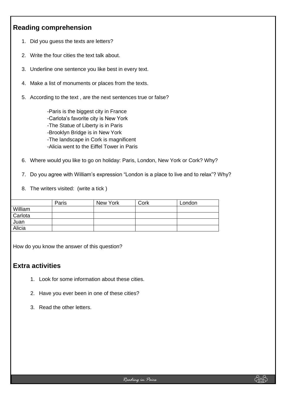### **Reading comprehension**

- 1. Did you guess the texts are letters?
- 2. Write the four cities the text talk about.
- 3. Underline one sentence you like best in every text.
- 4. Make a list of monuments or places from the texts.
- 5. According to the text , are the next sentences true or false?

-Paris is the biggest city in France -Carlota's favorite city is New York -The Statue of Liberty is in Paris -Brooklyn Bridge is in New York -The landscape in Cork is magnificent -Alicia went to the Eiffel Tower in Paris

- 6. Where would you like to go on holiday: Paris, London, New York or Cork? Why?
- 7. Do you agree with William's expression "London is a place to live and to relax"? Why?
- 8. The writers visited: (write a tick )

|         | Paris | New York | Cork | London |
|---------|-------|----------|------|--------|
| William |       |          |      |        |
| Carlota |       |          |      |        |
| Juan    |       |          |      |        |
| Alicia  |       |          |      |        |

How do you know the answer of this question?

#### **Extra activities**

- 1. Look for some information about these cities.
- 2. Have you ever been in one of these cities?
- 3. Read the other letters.